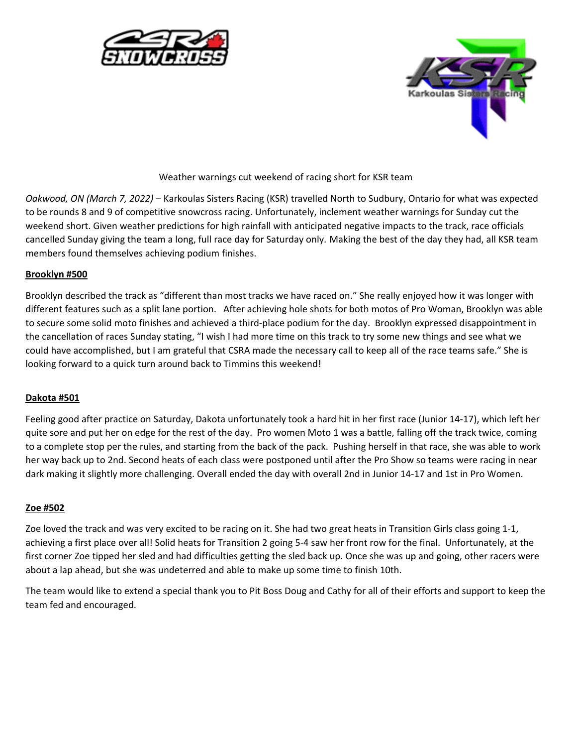



Weather warnings cut weekend of racing short for KSR team

*Oakwood, ON (March 7, 2022)* – Karkoulas Sisters Racing (KSR) travelled North to Sudbury, Ontario for what was expected to be rounds 8 and 9 of competitive snowcross racing. Unfortunately, inclement weather warnings for Sunday cut the weekend short. Given weather predictions for high rainfall with anticipated negative impacts to the track, race officials cancelled Sunday giving the team a long, full race day for Saturday only. Making the best of the day they had, all KSR team members found themselves achieving podium finishes.

## **Brooklyn #500**

Brooklyn described the track as "different than most tracks we have raced on." She really enjoyed how it was longer with different features such as a split lane portion. After achieving hole shots for both motos of Pro Woman, Brooklyn was able to secure some solid moto finishes and achieved a third-place podium for the day. Brooklyn expressed disappointment in the cancellation of races Sunday stating, "I wish I had more time on this track to try some new things and see what we could have accomplished, but I am grateful that CSRA made the necessary call to keep all of the race teams safe." She is looking forward to a quick turn around back to Timmins this weekend!

## **Dakota #501**

Feeling good after practice on Saturday, Dakota unfortunately took a hard hit in her first race (Junior 14-17), which left her quite sore and put her on edge for the rest of the day. Pro women Moto 1 was a battle, falling off the track twice, coming to a complete stop per the rules, and starting from the back of the pack. Pushing herself in that race, she was able to work her way back up to 2nd. Second heats of each class were postponed until after the Pro Show so teams were racing in near dark making it slightly more challenging. Overall ended the day with overall 2nd in Junior 14-17 and 1st in Pro Women.

## **Zoe #502**

Zoe loved the track and was very excited to be racing on it. She had two great heats in Transition Girls class going 1-1, achieving a first place over all! Solid heats for Transition 2 going 5-4 saw her front row for the final. Unfortunately, at the first corner Zoe tipped her sled and had difficulties getting the sled back up. Once she was up and going, other racers were about a lap ahead, but she was undeterred and able to make up some time to finish 10th.

The team would like to extend a special thank you to Pit Boss Doug and Cathy for all of their efforts and support to keep the team fed and encouraged.